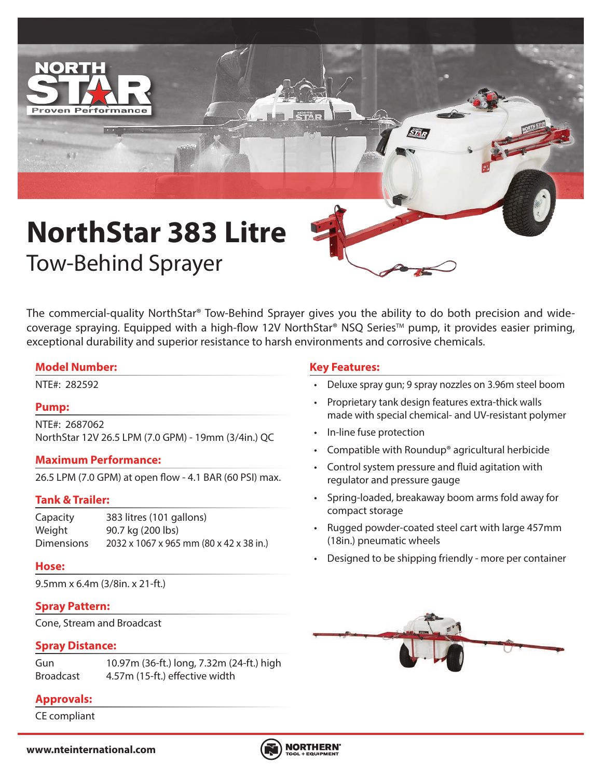

# **NorthStar 383 Litre** Tow-Behind Sprayer

The commercial-quality NorthStar® Tow-Behind Sprayer gives you the ability to do both precision and widecoverage spraying. Equipped with a high-flow 12V NorthStar® NSQ Series™ pump, it provides easier priming, exceptional durability and superior resistance to harsh environments and corrosive chemicals.

#### **Model Number:**

#### **Pump:**

NTE#: 2687062 NorthStar 12V 26.5 LPM (7.0 GPM) - 19mm (3/4in.) QC

#### **Maximum Performance:**

26.5 LPM (7.0 GPM) at open flow - 4.1 BAR (60 PSI) max.

# **Tank & Trailer:**

Capacity 383 litres (101 gallons) Weight 90.7 kg (200 lbs) Dimensions 2032 x 1067 x 965 mm (80 x 42 x 38 in.)

#### **Hose:**

9.5mm x 6.4m (3/8in. x 21-ft.)

# **Spray Pattern:**

Cone, Stream and Broadcast

#### **Spray Distance:**

Gun 10.97m (36-ft.) long, 7.32m (24-ft.) high Broadcast 4.57m (15-ft.) effective width

# **Approvals:**

CE compliant

# **Key Features:**

- NTE#: 282592 Deluxe spray gun; 9 spray nozzles on 3.96m steel boom
	- Proprietary tank design features extra-thick walls made with special chemical- and UV-resistant polymer
	- In-line fuse protection
	- Compatible with Roundup® agricultural herbicide
	- Control system pressure and fluid agitation with regulator and pressure gauge
	- Spring-loaded, breakaway boom arms fold away for compact storage
	- Rugged powder-coated steel cart with large 457mm (18in.) pneumatic wheels
	- Designed to be shipping friendly more per container